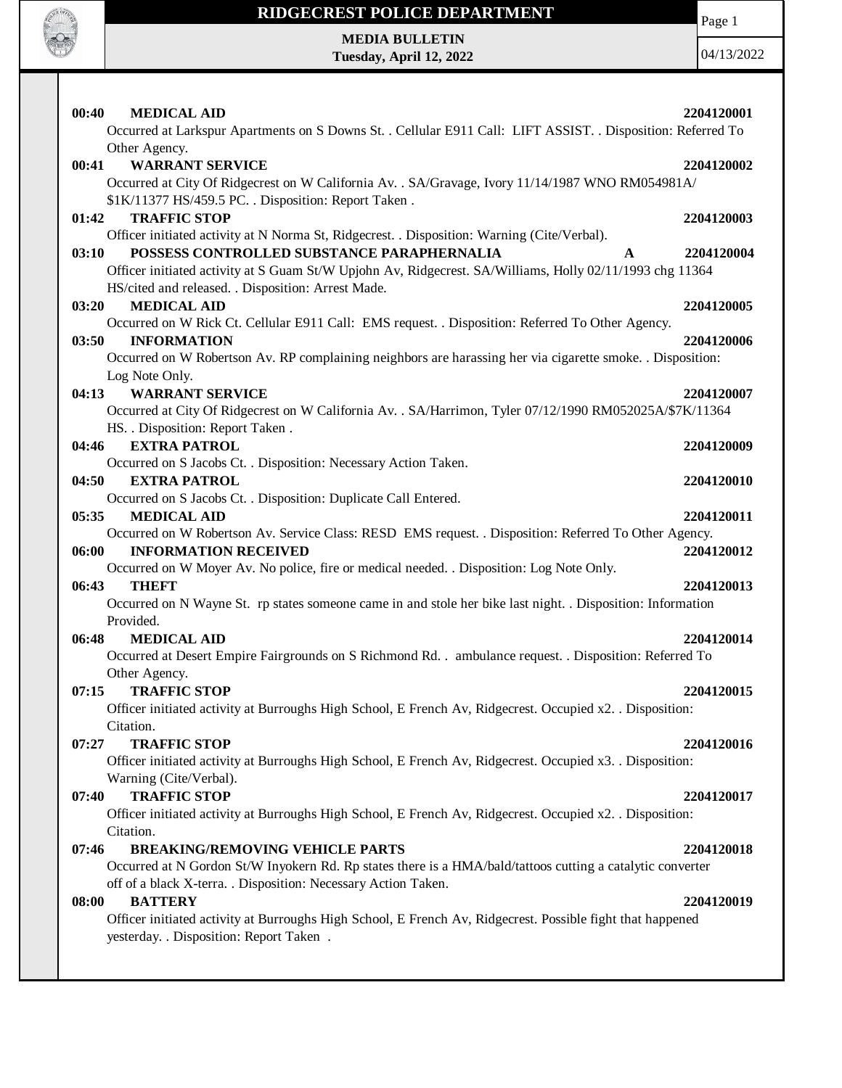

Page 1

**MEDIA BULLETIN Tuesday, April 12, 2022**

| 00:40<br><b>MEDICAL AID</b>                                                                                                                                   | 2204120001      |
|---------------------------------------------------------------------------------------------------------------------------------------------------------------|-----------------|
| Occurred at Larkspur Apartments on S Downs St. . Cellular E911 Call: LIFT ASSIST. . Disposition: Referred To<br>Other Agency.                                 |                 |
| <b>WARRANT SERVICE</b><br>00:41                                                                                                                               | 2204120002      |
| Occurred at City Of Ridgecrest on W California Av. . SA/Gravage, Ivory 11/14/1987 WNO RM054981A/                                                              |                 |
| \$1K/11377 HS/459.5 PC. . Disposition: Report Taken.                                                                                                          |                 |
| <b>TRAFFIC STOP</b><br>01:42                                                                                                                                  | 2204120003      |
| Officer initiated activity at N Norma St, Ridgecrest. . Disposition: Warning (Cite/Verbal).                                                                   |                 |
| POSSESS CONTROLLED SUBSTANCE PARAPHERNALIA<br>03:10                                                                                                           | 2204120004<br>A |
| Officer initiated activity at S Guam St/W Upjohn Av, Ridgecrest. SA/Williams, Holly 02/11/1993 chg 11364                                                      |                 |
| HS/cited and released. . Disposition: Arrest Made.                                                                                                            |                 |
| 03:20<br><b>MEDICAL AID</b>                                                                                                                                   | 2204120005      |
| Occurred on W Rick Ct. Cellular E911 Call: EMS request. . Disposition: Referred To Other Agency.                                                              |                 |
| 03:50<br><b>INFORMATION</b>                                                                                                                                   | 2204120006      |
| Occurred on W Robertson Av. RP complaining neighbors are harassing her via cigarette smoke. . Disposition:                                                    |                 |
| Log Note Only.                                                                                                                                                |                 |
| <b>WARRANT SERVICE</b><br>04:13                                                                                                                               | 2204120007      |
| Occurred at City Of Ridgecrest on W California Av. . SA/Harrimon, Tyler 07/12/1990 RM052025A/\$7K/11364                                                       |                 |
| HS. . Disposition: Report Taken.                                                                                                                              |                 |
| <b>EXTRA PATROL</b><br>04:46<br>Occurred on S Jacobs Ct. . Disposition: Necessary Action Taken.                                                               | 2204120009      |
| 04:50<br><b>EXTRA PATROL</b>                                                                                                                                  | 2204120010      |
| Occurred on S Jacobs Ct. . Disposition: Duplicate Call Entered.                                                                                               |                 |
| 05:35<br><b>MEDICAL AID</b>                                                                                                                                   | 2204120011      |
| Occurred on W Robertson Av. Service Class: RESD EMS request. . Disposition: Referred To Other Agency.                                                         |                 |
| 06:00<br><b>INFORMATION RECEIVED</b>                                                                                                                          | 2204120012      |
| Occurred on W Moyer Av. No police, fire or medical needed. . Disposition: Log Note Only.                                                                      |                 |
| 06:43<br><b>THEFT</b>                                                                                                                                         | 2204120013      |
| Occurred on N Wayne St. rp states someone came in and stole her bike last night. . Disposition: Information                                                   |                 |
| Provided.                                                                                                                                                     |                 |
| <b>MEDICAL AID</b><br>06:48                                                                                                                                   | 2204120014      |
| Occurred at Desert Empire Fairgrounds on S Richmond Rd. . ambulance request. . Disposition: Referred To                                                       |                 |
| Other Agency.                                                                                                                                                 |                 |
| <b>TRAFFIC STOP</b><br>07:15                                                                                                                                  | 2204120015      |
| Officer initiated activity at Burroughs High School, E French Av, Ridgecrest. Occupied x2. . Disposition:                                                     |                 |
| Citation.                                                                                                                                                     |                 |
| <b>TRAFFIC STOP</b><br>07:27                                                                                                                                  | 2204120016      |
| Officer initiated activity at Burroughs High School, E French Av, Ridgecrest. Occupied x3. . Disposition:                                                     |                 |
| Warning (Cite/Verbal).                                                                                                                                        |                 |
| <b>TRAFFIC STOP</b><br>07:40                                                                                                                                  | 2204120017      |
| Officer initiated activity at Burroughs High School, E French Av, Ridgecrest. Occupied x2. . Disposition:                                                     |                 |
| Citation.                                                                                                                                                     |                 |
| <b>BREAKING/REMOVING VEHICLE PARTS</b><br>07:46<br>Occurred at N Gordon St/W Inyokern Rd. Rp states there is a HMA/bald/tattoos cutting a catalytic converter | 2204120018      |
| off of a black X-terra. . Disposition: Necessary Action Taken.                                                                                                |                 |
| <b>BATTERY</b><br>08:00                                                                                                                                       | 2204120019      |
| Officer initiated activity at Burroughs High School, E French Av, Ridgecrest. Possible fight that happened                                                    |                 |
| yesterday. . Disposition: Report Taken .                                                                                                                      |                 |
|                                                                                                                                                               |                 |
|                                                                                                                                                               |                 |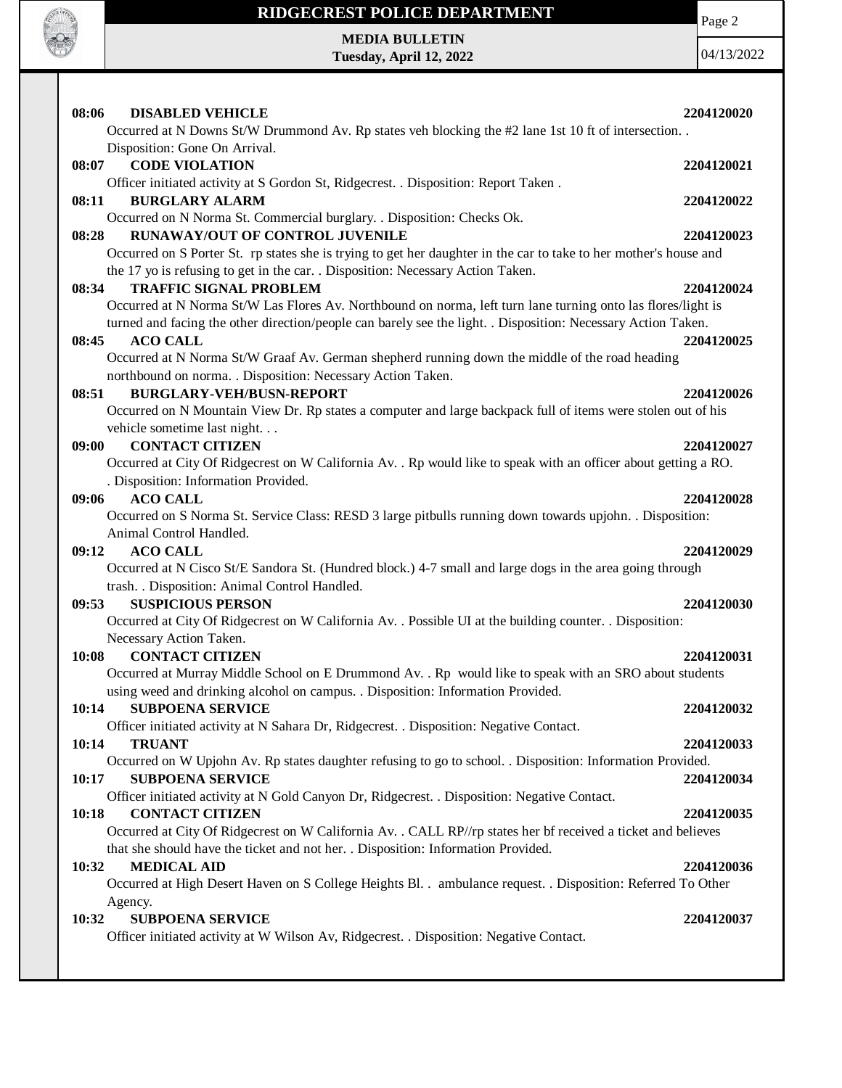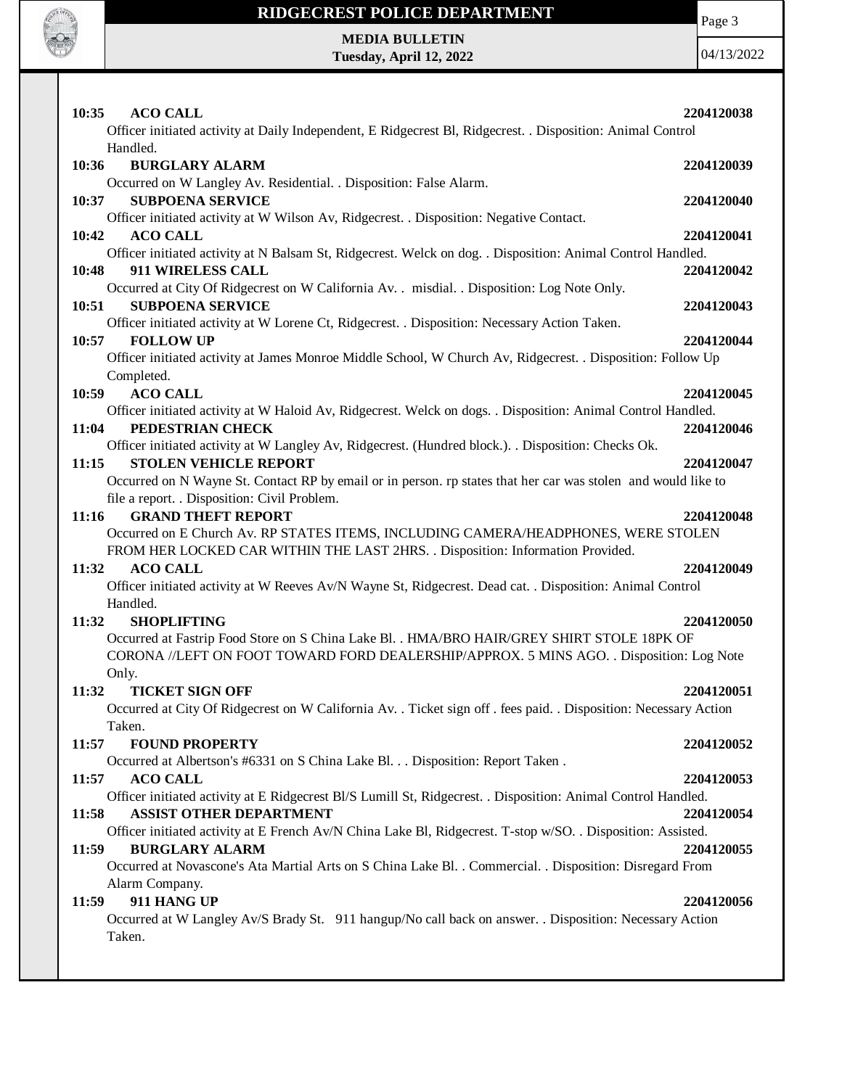

Page 3

**MEDIA BULLETIN Tuesday, April 12, 2022**

| 10:35<br><b>ACO CALL</b><br>Officer initiated activity at Daily Independent, E Ridgecrest Bl, Ridgecrest. . Disposition: Animal Control<br>Handled.                                    | 2204120038 |
|----------------------------------------------------------------------------------------------------------------------------------------------------------------------------------------|------------|
| <b>BURGLARY ALARM</b><br>10:36                                                                                                                                                         | 2204120039 |
| Occurred on W Langley Av. Residential. . Disposition: False Alarm.                                                                                                                     |            |
| <b>SUBPOENA SERVICE</b><br>10:37                                                                                                                                                       | 2204120040 |
| Officer initiated activity at W Wilson Av, Ridgecrest. . Disposition: Negative Contact.                                                                                                |            |
| 10:42<br><b>ACO CALL</b>                                                                                                                                                               | 2204120041 |
| Officer initiated activity at N Balsam St, Ridgecrest. Welck on dog. . Disposition: Animal Control Handled.<br>911 WIRELESS CALL<br>10:48                                              | 2204120042 |
| Occurred at City Of Ridgecrest on W California Av. . misdial. . Disposition: Log Note Only.                                                                                            |            |
| <b>SUBPOENA SERVICE</b><br>10:51                                                                                                                                                       | 2204120043 |
| Officer initiated activity at W Lorene Ct, Ridgecrest. . Disposition: Necessary Action Taken.                                                                                          |            |
| 10:57<br><b>FOLLOW UP</b>                                                                                                                                                              | 2204120044 |
| Officer initiated activity at James Monroe Middle School, W Church Av, Ridgecrest. . Disposition: Follow Up                                                                            |            |
| Completed.<br><b>ACO CALL</b><br>10:59                                                                                                                                                 | 2204120045 |
| Officer initiated activity at W Haloid Av, Ridgecrest. Welck on dogs. . Disposition: Animal Control Handled.                                                                           |            |
| PEDESTRIAN CHECK<br>11:04                                                                                                                                                              | 2204120046 |
| Officer initiated activity at W Langley Av, Ridgecrest. (Hundred block.). . Disposition: Checks Ok.                                                                                    |            |
| 11:15<br><b>STOLEN VEHICLE REPORT</b>                                                                                                                                                  | 2204120047 |
| Occurred on N Wayne St. Contact RP by email or in person. rp states that her car was stolen and would like to                                                                          |            |
| file a report. . Disposition: Civil Problem.                                                                                                                                           |            |
| <b>GRAND THEFT REPORT</b><br>11:16<br>Occurred on E Church Av. RP STATES ITEMS, INCLUDING CAMERA/HEADPHONES, WERE STOLEN                                                               | 2204120048 |
| FROM HER LOCKED CAR WITHIN THE LAST 2HRS. . Disposition: Information Provided.                                                                                                         |            |
| <b>ACO CALL</b><br>11:32                                                                                                                                                               | 2204120049 |
| Officer initiated activity at W Reeves Av/N Wayne St, Ridgecrest. Dead cat. . Disposition: Animal Control                                                                              |            |
| Handled.                                                                                                                                                                               |            |
| <b>SHOPLIFTING</b><br>11:32                                                                                                                                                            | 2204120050 |
| Occurred at Fastrip Food Store on S China Lake Bl. . HMA/BRO HAIR/GREY SHIRT STOLE 18PK OF<br>CORONA //LEFT ON FOOT TOWARD FORD DEALERSHIP/APPROX. 5 MINS AGO. . Disposition: Log Note |            |
| Only.                                                                                                                                                                                  |            |
| <b>TICKET SIGN OFF</b><br>11:32                                                                                                                                                        | 2204120051 |
| Occurred at City Of Ridgecrest on W California Av. . Ticket sign off . fees paid. . Disposition: Necessary Action                                                                      |            |
| Taken.                                                                                                                                                                                 |            |
| <b>FOUND PROPERTY</b><br>11:57                                                                                                                                                         | 2204120052 |
| Occurred at Albertson's #6331 on S China Lake Bl. Disposition: Report Taken .                                                                                                          |            |
| 11:57<br><b>ACO CALL</b><br>Officer initiated activity at E Ridgecrest Bl/S Lumill St, Ridgecrest. . Disposition: Animal Control Handled.                                              | 2204120053 |
| <b>ASSIST OTHER DEPARTMENT</b><br>11:58                                                                                                                                                | 2204120054 |
| Officer initiated activity at E French Av/N China Lake Bl, Ridgecrest. T-stop w/SO. . Disposition: Assisted.                                                                           |            |
| <b>BURGLARY ALARM</b><br>11:59                                                                                                                                                         | 2204120055 |
| Occurred at Novascone's Ata Martial Arts on S China Lake Bl. . Commercial. . Disposition: Disregard From                                                                               |            |
| Alarm Company.                                                                                                                                                                         |            |
| 911 HANG UP<br>11:59<br>Occurred at W Langley Av/S Brady St. 911 hangup/No call back on answer. . Disposition: Necessary Action                                                        | 2204120056 |
| Taken.                                                                                                                                                                                 |            |
|                                                                                                                                                                                        |            |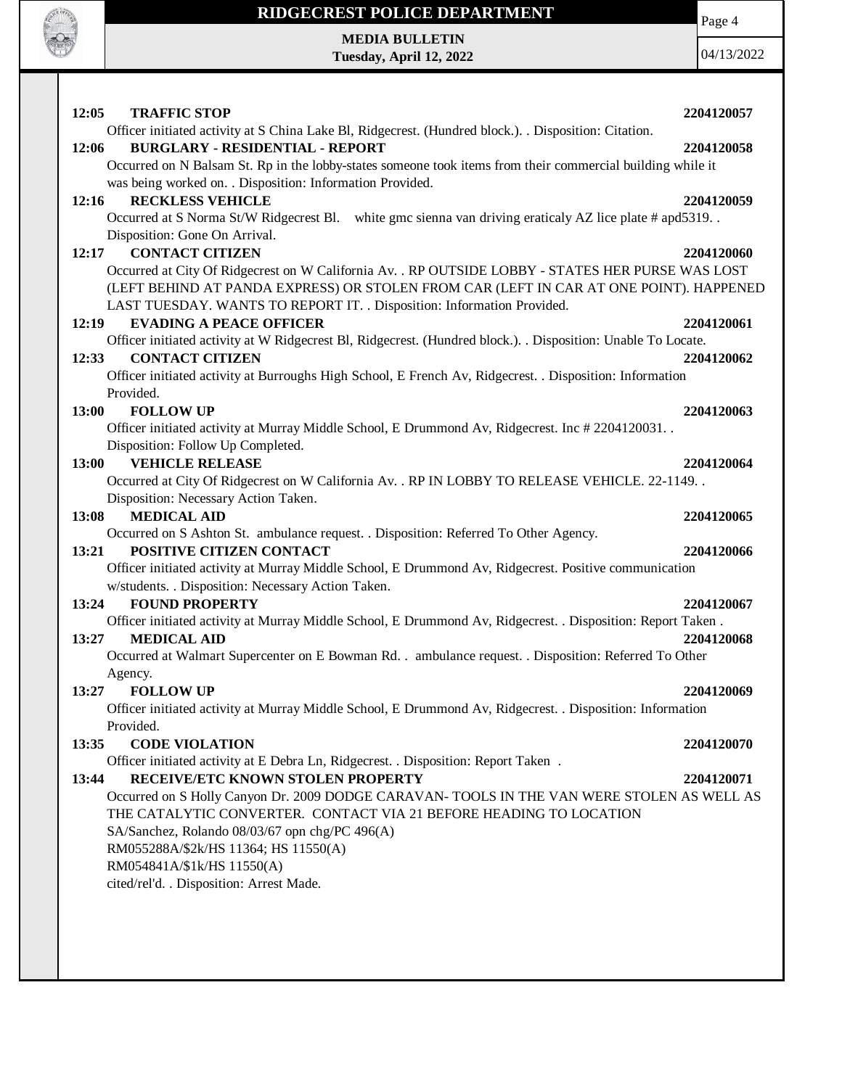

**MEDIA BULLETIN Tuesday, April 12, 2022** Page 4 04/13/2022

**12:05 TRAFFIC STOP 2204120057** Officer initiated activity at S China Lake Bl, Ridgecrest. (Hundred block.). . Disposition: Citation. **12:06 BURGLARY - RESIDENTIAL - REPORT 2204120058** Occurred on N Balsam St. Rp in the lobby-states someone took items from their commercial building while it was being worked on. . Disposition: Information Provided. **12:16 RECKLESS VEHICLE 2204120059** Occurred at S Norma St/W Ridgecrest Bl. white gmc sienna van driving eraticaly AZ lice plate # apd5319. . Disposition: Gone On Arrival. **12:17 CONTACT CITIZEN 2204120060** Occurred at City Of Ridgecrest on W California Av. . RP OUTSIDE LOBBY - STATES HER PURSE WAS LOST (LEFT BEHIND AT PANDA EXPRESS) OR STOLEN FROM CAR (LEFT IN CAR AT ONE POINT). HAPPENED LAST TUESDAY. WANTS TO REPORT IT. . Disposition: Information Provided. **12:19 EVADING A PEACE OFFICER 2204120061** Officer initiated activity at W Ridgecrest Bl, Ridgecrest. (Hundred block.). . Disposition: Unable To Locate. **12:33 CONTACT CITIZEN 2204120062** Officer initiated activity at Burroughs High School, E French Av, Ridgecrest. . Disposition: Information Provided. **13:00 FOLLOW UP 2204120063** Officer initiated activity at Murray Middle School, E Drummond Av, Ridgecrest. Inc # 2204120031. . Disposition: Follow Up Completed. **13:00 VEHICLE RELEASE 2204120064** Occurred at City Of Ridgecrest on W California Av. . RP IN LOBBY TO RELEASE VEHICLE. 22-1149. . Disposition: Necessary Action Taken. **13:08 MEDICAL AID 2204120065** Occurred on S Ashton St. ambulance request. . Disposition: Referred To Other Agency. **13:21 POSITIVE CITIZEN CONTACT 2204120066** Officer initiated activity at Murray Middle School, E Drummond Av, Ridgecrest. Positive communication w/students. . Disposition: Necessary Action Taken. **13:24 FOUND PROPERTY 2204120067** Officer initiated activity at Murray Middle School, E Drummond Av, Ridgecrest. . Disposition: Report Taken . **13:27 MEDICAL AID 2204120068** Occurred at Walmart Supercenter on E Bowman Rd. . ambulance request. . Disposition: Referred To Other Agency. **13:27 FOLLOW UP 2204120069** Officer initiated activity at Murray Middle School, E Drummond Av, Ridgecrest. . Disposition: Information Provided. **13:35 CODE VIOLATION 2204120070** Officer initiated activity at E Debra Ln, Ridgecrest. . Disposition: Report Taken . **13:44 RECEIVE/ETC KNOWN STOLEN PROPERTY 2204120071** Occurred on S Holly Canyon Dr. 2009 DODGE CARAVAN- TOOLS IN THE VAN WERE STOLEN AS WELL AS THE CATALYTIC CONVERTER. CONTACT VIA 21 BEFORE HEADING TO LOCATION SA/Sanchez, Rolando 08/03/67 opn chg/PC 496(A) RM055288A/\$2k/HS 11364; HS 11550(A) RM054841A/\$1k/HS 11550(A) cited/rel'd. . Disposition: Arrest Made.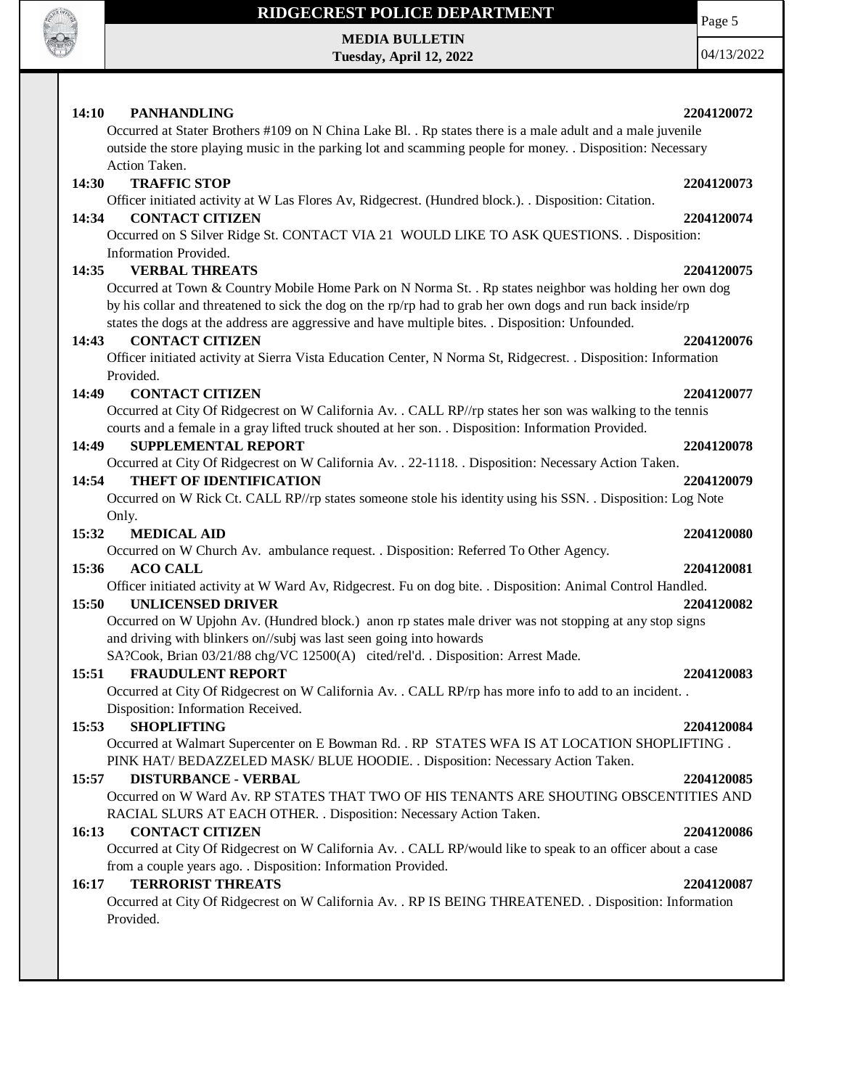

**MEDIA BULLETIN Tuesday, April 12, 2022**

Page 5

| 14:10<br><b>PANHANDLING</b><br>2204120072<br>Occurred at Stater Brothers #109 on N China Lake Bl. . Rp states there is a male adult and a male juvenile<br>outside the store playing music in the parking lot and scamming people for money. . Disposition: Necessary                                                    |  |
|--------------------------------------------------------------------------------------------------------------------------------------------------------------------------------------------------------------------------------------------------------------------------------------------------------------------------|--|
| Action Taken.                                                                                                                                                                                                                                                                                                            |  |
| <b>TRAFFIC STOP</b><br>14:30<br>2204120073                                                                                                                                                                                                                                                                               |  |
| Officer initiated activity at W Las Flores Av, Ridgecrest. (Hundred block.). Disposition: Citation.                                                                                                                                                                                                                      |  |
| <b>CONTACT CITIZEN</b><br>14:34<br>2204120074                                                                                                                                                                                                                                                                            |  |
| Occurred on S Silver Ridge St. CONTACT VIA 21 WOULD LIKE TO ASK QUESTIONS. . Disposition:                                                                                                                                                                                                                                |  |
| Information Provided.                                                                                                                                                                                                                                                                                                    |  |
| <b>VERBAL THREATS</b><br>2204120075<br>14:35                                                                                                                                                                                                                                                                             |  |
| Occurred at Town & Country Mobile Home Park on N Norma St. . Rp states neighbor was holding her own dog<br>by his collar and threatened to sick the dog on the rp/rp had to grab her own dogs and run back inside/rp<br>states the dogs at the address are aggressive and have multiple bites. . Disposition: Unfounded. |  |
| <b>CONTACT CITIZEN</b><br>14:43<br>2204120076                                                                                                                                                                                                                                                                            |  |
| Officer initiated activity at Sierra Vista Education Center, N Norma St, Ridgecrest. . Disposition: Information                                                                                                                                                                                                          |  |
| Provided.                                                                                                                                                                                                                                                                                                                |  |
| 14:49<br><b>CONTACT CITIZEN</b><br>2204120077                                                                                                                                                                                                                                                                            |  |
| Occurred at City Of Ridgecrest on W California Av. . CALL RP//rp states her son was walking to the tennis                                                                                                                                                                                                                |  |
| courts and a female in a gray lifted truck shouted at her son. . Disposition: Information Provided.                                                                                                                                                                                                                      |  |
| 14:49<br><b>SUPPLEMENTAL REPORT</b><br>2204120078                                                                                                                                                                                                                                                                        |  |
| Occurred at City Of Ridgecrest on W California Av. . 22-1118. . Disposition: Necessary Action Taken.                                                                                                                                                                                                                     |  |
| 14:54<br><b>THEFT OF IDENTIFICATION</b><br>2204120079                                                                                                                                                                                                                                                                    |  |
| Occurred on W Rick Ct. CALL RP//rp states someone stole his identity using his SSN. . Disposition: Log Note                                                                                                                                                                                                              |  |
| Only.                                                                                                                                                                                                                                                                                                                    |  |
| 15:32<br><b>MEDICAL AID</b><br>2204120080                                                                                                                                                                                                                                                                                |  |
| Occurred on W Church Av. ambulance request. . Disposition: Referred To Other Agency.                                                                                                                                                                                                                                     |  |
| 15:36<br><b>ACO CALL</b><br>2204120081<br>Officer initiated activity at W Ward Av, Ridgecrest. Fu on dog bite. . Disposition: Animal Control Handled.                                                                                                                                                                    |  |
| <b>UNLICENSED DRIVER</b><br>15:50<br>2204120082                                                                                                                                                                                                                                                                          |  |
| Occurred on W Upjohn Av. (Hundred block.) anon rp states male driver was not stopping at any stop signs                                                                                                                                                                                                                  |  |
| and driving with blinkers on//subj was last seen going into howards                                                                                                                                                                                                                                                      |  |
| SA?Cook, Brian 03/21/88 chg/VC 12500(A) cited/rel'd. . Disposition: Arrest Made.                                                                                                                                                                                                                                         |  |
| 15:51<br><b>FRAUDULENT REPORT</b><br>2204120083                                                                                                                                                                                                                                                                          |  |
| Occurred at City Of Ridgecrest on W California Av. . CALL RP/rp has more info to add to an incident. .                                                                                                                                                                                                                   |  |
| Disposition: Information Received.                                                                                                                                                                                                                                                                                       |  |
| 15:53<br><b>SHOPLIFTING</b><br>2204120084                                                                                                                                                                                                                                                                                |  |
| Occurred at Walmart Supercenter on E Bowman Rd. . RP STATES WFA IS AT LOCATION SHOPLIFTING.                                                                                                                                                                                                                              |  |
| PINK HAT/BEDAZZELED MASK/BLUE HOODIE. . Disposition: Necessary Action Taken.                                                                                                                                                                                                                                             |  |
| 15:57<br><b>DISTURBANCE - VERBAL</b><br>2204120085                                                                                                                                                                                                                                                                       |  |
| Occurred on W Ward Av. RP STATES THAT TWO OF HIS TENANTS ARE SHOUTING OBSCENTITIES AND                                                                                                                                                                                                                                   |  |
| RACIAL SLURS AT EACH OTHER. . Disposition: Necessary Action Taken.                                                                                                                                                                                                                                                       |  |
| 16:13<br><b>CONTACT CITIZEN</b><br>2204120086                                                                                                                                                                                                                                                                            |  |
| Occurred at City Of Ridgecrest on W California Av. . CALL RP/would like to speak to an officer about a case<br>from a couple years ago. . Disposition: Information Provided.                                                                                                                                             |  |
| <b>TERRORIST THREATS</b><br>16:17<br>2204120087                                                                                                                                                                                                                                                                          |  |
| Occurred at City Of Ridgecrest on W California Av. . RP IS BEING THREATENED. . Disposition: Information                                                                                                                                                                                                                  |  |
| Provided.                                                                                                                                                                                                                                                                                                                |  |
|                                                                                                                                                                                                                                                                                                                          |  |
|                                                                                                                                                                                                                                                                                                                          |  |
|                                                                                                                                                                                                                                                                                                                          |  |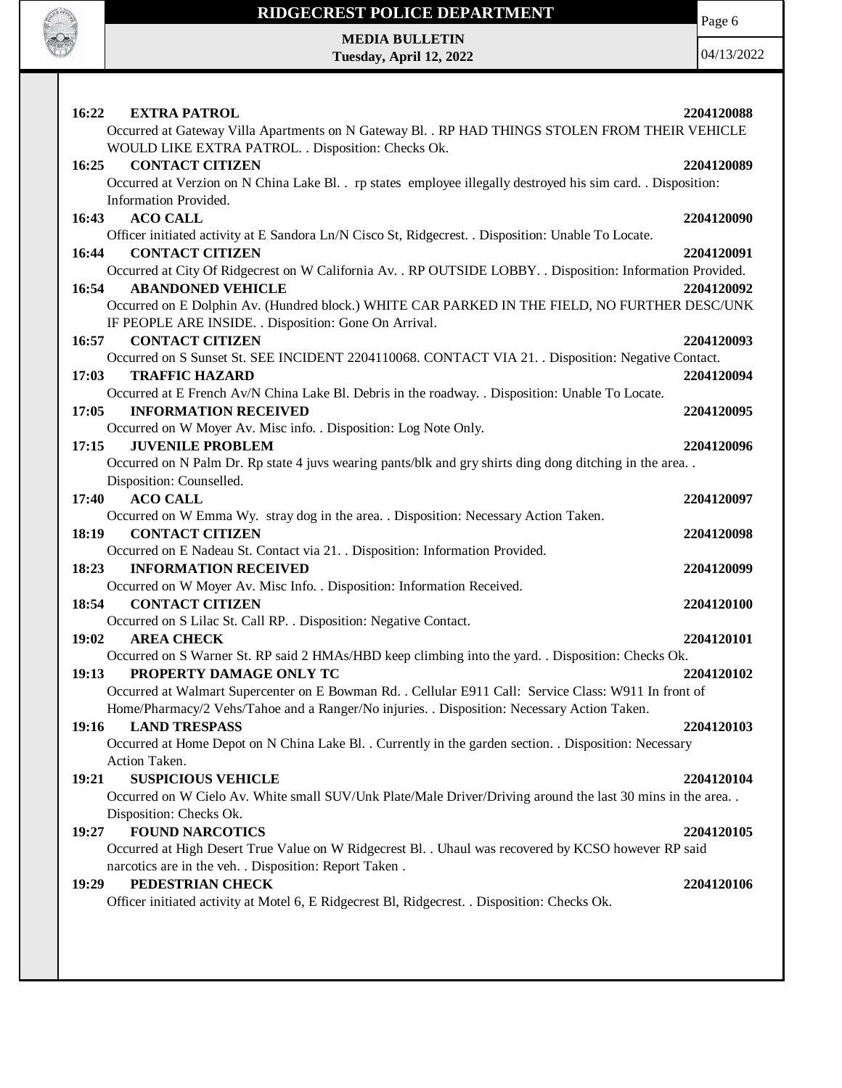

Page 6

**MEDIA BULLETIN Tuesday, April 12, 2022**

| 16:22<br><b>EXTRA PATROL</b>                                                                                  | 2204120088 |
|---------------------------------------------------------------------------------------------------------------|------------|
| Occurred at Gateway Villa Apartments on N Gateway Bl. . RP HAD THINGS STOLEN FROM THEIR VEHICLE               |            |
| WOULD LIKE EXTRA PATROL. . Disposition: Checks Ok.                                                            |            |
| 16:25<br><b>CONTACT CITIZEN</b>                                                                               | 2204120089 |
| Occurred at Verzion on N China Lake Bl. . rp states employee illegally destroyed his sim card. . Disposition: |            |
| Information Provided.                                                                                         |            |
| <b>ACO CALL</b><br>16:43                                                                                      | 2204120090 |
| Officer initiated activity at E Sandora Ln/N Cisco St, Ridgecrest. . Disposition: Unable To Locate.           |            |
| <b>CONTACT CITIZEN</b><br>16:44                                                                               | 2204120091 |
| Occurred at City Of Ridgecrest on W California Av. . RP OUTSIDE LOBBY. . Disposition: Information Provided.   |            |
| <b>ABANDONED VEHICLE</b>                                                                                      |            |
| 16:54                                                                                                         | 2204120092 |
| Occurred on E Dolphin Av. (Hundred block.) WHITE CAR PARKED IN THE FIELD, NO FURTHER DESC/UNK                 |            |
| IF PEOPLE ARE INSIDE. . Disposition: Gone On Arrival.                                                         |            |
| <b>CONTACT CITIZEN</b><br>16:57                                                                               | 2204120093 |
| Occurred on S Sunset St. SEE INCIDENT 2204110068. CONTACT VIA 21. . Disposition: Negative Contact.            |            |
| 17:03<br><b>TRAFFIC HAZARD</b>                                                                                | 2204120094 |
| Occurred at E French Av/N China Lake Bl. Debris in the roadway. . Disposition: Unable To Locate.              |            |
| <b>INFORMATION RECEIVED</b><br>17:05                                                                          | 2204120095 |
| Occurred on W Moyer Av. Misc info. . Disposition: Log Note Only.                                              |            |
| <b>JUVENILE PROBLEM</b><br>17:15                                                                              | 2204120096 |
| Occurred on N Palm Dr. Rp state 4 juvs wearing pants/blk and gry shirts ding dong ditching in the area        |            |
| Disposition: Counselled.                                                                                      |            |
| <b>ACO CALL</b><br>17:40                                                                                      | 2204120097 |
| Occurred on W Emma Wy. stray dog in the area. . Disposition: Necessary Action Taken.                          |            |
| <b>CONTACT CITIZEN</b><br>18:19                                                                               | 2204120098 |
| Occurred on E Nadeau St. Contact via 21. . Disposition: Information Provided.                                 |            |
| <b>INFORMATION RECEIVED</b><br>18:23                                                                          | 2204120099 |
| Occurred on W Moyer Av. Misc Info. . Disposition: Information Received.                                       |            |
| 18:54<br><b>CONTACT CITIZEN</b>                                                                               | 2204120100 |
| Occurred on S Lilac St. Call RP. . Disposition: Negative Contact.                                             |            |
| 19:02<br><b>AREA CHECK</b>                                                                                    | 2204120101 |
| Occurred on S Warner St. RP said 2 HMAs/HBD keep climbing into the yard. . Disposition: Checks Ok.            |            |
| PROPERTY DAMAGE ONLY TC<br>19:13                                                                              | 2204120102 |
| Occurred at Walmart Supercenter on E Bowman Rd. . Cellular E911 Call: Service Class: W911 In front of         |            |
| Home/Pharmacy/2 Vehs/Tahoe and a Ranger/No injuries. . Disposition: Necessary Action Taken.                   |            |
| <b>LAND TRESPASS</b><br>19:16                                                                                 | 2204120103 |
| Occurred at Home Depot on N China Lake Bl. . Currently in the garden section. . Disposition: Necessary        |            |
| Action Taken.                                                                                                 |            |
| <b>SUSPICIOUS VEHICLE</b><br>19:21                                                                            | 2204120104 |
| Occurred on W Cielo Av. White small SUV/Unk Plate/Male Driver/Driving around the last 30 mins in the area     |            |
| Disposition: Checks Ok.                                                                                       |            |
| <b>FOUND NARCOTICS</b><br>19:27                                                                               | 2204120105 |
| Occurred at High Desert True Value on W Ridgecrest Bl. . Uhaul was recovered by KCSO however RP said          |            |
| narcotics are in the veh. . Disposition: Report Taken.                                                        |            |
| PEDESTRIAN CHECK<br>19:29                                                                                     | 2204120106 |
| Officer initiated activity at Motel 6, E Ridgecrest Bl, Ridgecrest. . Disposition: Checks Ok.                 |            |
|                                                                                                               |            |
|                                                                                                               |            |
|                                                                                                               |            |